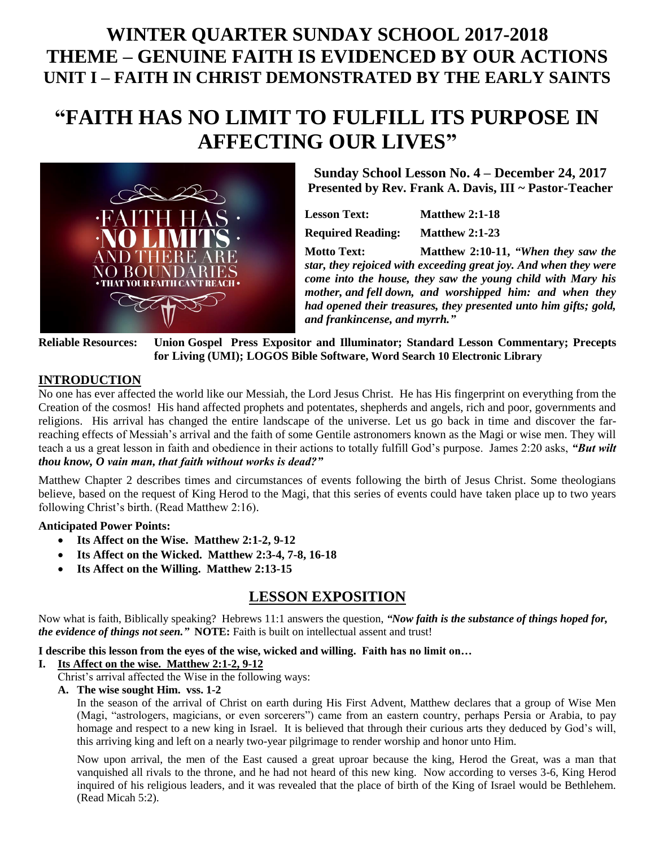## **WINTER QUARTER SUNDAY SCHOOL 2017-2018 THEME – GENUINE FAITH IS EVIDENCED BY OUR ACTIONS UNIT I – FAITH IN CHRIST DEMONSTRATED BY THE EARLY SAINTS**

# **"FAITH HAS NO LIMIT TO FULFILL ITS PURPOSE IN AFFECTING OUR LIVES"**



**Sunday School Lesson No. 4 – December 24, 2017 Presented by Rev. Frank A. Davis, III ~ Pastor-Teacher**

**Lesson Text: Matthew 2:1-18 Required Reading: Matthew 2:1-23**

**Motto Text: Matthew 2:10-11,** *"When they saw the star, they rejoiced with exceeding great joy. And when they were come into the house, they saw the young child with Mary his mother, and fell down, and worshipped him: and when they had opened their treasures, they presented unto him gifts; gold, and frankincense, and myrrh."*

**Reliable Resources: Union Gospel Press Expositor and Illuminator; Standard Lesson Commentary; Precepts for Living (UMI); LOGOS Bible Software, Word Search 10 Electronic Library**

#### **INTRODUCTION**

No one has ever affected the world like our Messiah, the Lord Jesus Christ. He has His fingerprint on everything from the Creation of the cosmos! His hand affected prophets and potentates, shepherds and angels, rich and poor, governments and religions. His arrival has changed the entire landscape of the universe. Let us go back in time and discover the farreaching effects of Messiah's arrival and the faith of some Gentile astronomers known as the Magi or wise men. They will teach a us a great lesson in faith and obedience in their actions to totally fulfill God's purpose. James 2:20 asks, *"But wilt thou know, O vain man, that faith without works is dead?"*

Matthew Chapter 2 describes times and circumstances of events following the birth of Jesus Christ. Some theologians believe, based on the request of King Herod to the Magi, that this series of events could have taken place up to two years following Christ's birth. (Read Matthew 2:16).

#### **Anticipated Power Points:**

- **Its Affect on the Wise. Matthew 2:1-2, 9-12**
- **Its Affect on the Wicked. Matthew 2:3-4, 7-8, 16-18**
- **Its Affect on the Willing. Matthew 2:13-15**

### **LESSON EXPOSITION**

Now what is faith, Biblically speaking? Hebrews 11:1 answers the question, *"Now faith is the substance of things hoped for, the evidence of things not seen."* **NOTE:** Faith is built on intellectual assent and trust!

#### **I describe this lesson from the eyes of the wise, wicked and willing. Faith has no limit on…**

#### **I. Its Affect on the wise. Matthew 2:1-2, 9-12**

Christ's arrival affected the Wise in the following ways:

**A. The wise sought Him. vss. 1-2**

In the season of the arrival of Christ on earth during His First Advent, Matthew declares that a group of Wise Men (Magi, "astrologers, magicians, or even sorcerers") came from an eastern country, perhaps Persia or Arabia, to pay homage and respect to a new king in Israel. It is believed that through their curious arts they deduced by God's will, this arriving king and left on a nearly two-year pilgrimage to render worship and honor unto Him.

Now upon arrival, the men of the East caused a great uproar because the king, Herod the Great, was a man that vanquished all rivals to the throne, and he had not heard of this new king. Now according to verses 3-6, King Herod inquired of his religious leaders, and it was revealed that the place of birth of the King of Israel would be Bethlehem. (Read Micah 5:2).